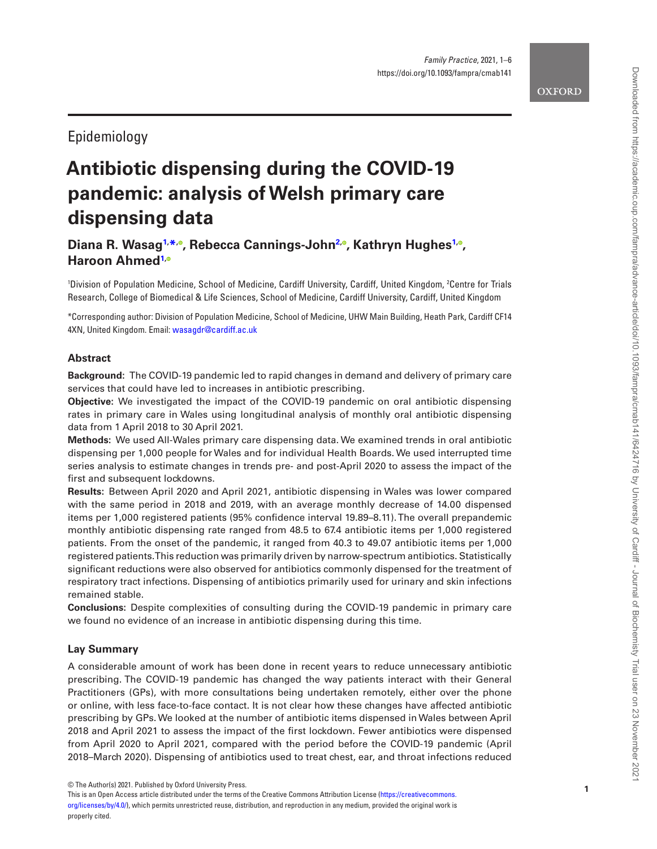# Epidemiology

# **Antibiotic dispensing during the COVID-19 pandemic: analysis of Welsh primary care dispensing data**

# Diana R. Wasag<sup>[1](#page-0-0),[\\*](#page-0-1)[,](https://orcid.org/0000-0001-6932-0203)</sup>°, Rebecca Cannings-John<sup>[2](#page-0-2),</sup>°, Kathryn Hughes<sup>1,</sup>°, **Haroon Ahmed [1](#page-0-0) [,](https://orcid.org/0000-0002-0634-8548)**

<span id="page-0-2"></span><span id="page-0-0"></span>'Division of Population Medicine, School of Medicine, Cardiff University, Cardiff, United Kingdom, <sup>2</sup>Centre for Trials Research, College of Biomedical & Life Sciences, School of Medicine, Cardiff University, Cardiff, United Kingdom

<span id="page-0-1"></span>\*Corresponding author: Division of Population Medicine, School of Medicine, UHW Main Building, Heath Park, Cardiff CF14 4XN, United Kingdom. Email: [wasagdr@cardiff.ac.uk](mailto:wasagdr@cardiff.ac.uk?subject=)

# **Abstract**

**Background:** The COVID-19 pandemic led to rapid changes in demand and delivery of primary care services that could have led to increases in antibiotic prescribing.

**Objective:** We investigated the impact of the COVID-19 pandemic on oral antibiotic dispensing rates in primary care in Wales using longitudinal analysis of monthly oral antibiotic dispensing data from 1 April 2018 to 30 April 2021.

**Methods:** We used All-Wales primary care dispensing data. We examined trends in oral antibiotic dispensing per 1,000 people for Wales and for individual Health Boards. We used interrupted time series analysis to estimate changes in trends pre- and post-April 2020 to assess the impact of the first and subsequent lockdowns.

**Results:** Between April 2020 and April 2021, antibiotic dispensing in Wales was lower compared with the same period in 2018 and 2019, with an average monthly decrease of 14.00 dispensed items per 1,000 registered patients (95% confidence interval 19.89–8.11). The overall prepandemic monthly antibiotic dispensing rate ranged from 48.5 to 67.4 antibiotic items per 1,000 registered patients. From the onset of the pandemic, it ranged from 40.3 to 49.07 antibiotic items per 1,000 registered patients. This reduction was primarily driven by narrow-spectrum antibiotics. Statistically significant reductions were also observed for antibiotics commonly dispensed for the treatment of respiratory tract infections. Dispensing of antibiotics primarily used for urinary and skin infections remained stable.

**Conclusions:** Despite complexities of consulting during the COVID-19 pandemic in primary care we found no evidence of an increase in antibiotic dispensing during this time.

# **Lay Summary**

A considerable amount of work has been done in recent years to reduce unnecessary antibiotic prescribing. The COVID-19 pandemic has changed the way patients interact with their General Practitioners (GPs), with more consultations being undertaken remotely, either over the phone or online, with less face-to-face contact. It is not clear how these changes have affected antibiotic prescribing by GPs. We looked at the number of antibiotic items dispensed in Wales between April 2018 and April 2021 to assess the impact of the first lockdown. Fewer antibiotics were dispensed from April 2020 to April 2021, compared with the period before the COVID-19 pandemic (April 2018–March 2020). Dispensing of antibiotics used to treat chest, ear, and throat infections reduced

<sup>©</sup> The Author(s) 2021. Published by Oxford University Press.<br>This is an Open Access article distributed under the terms of the Creative Commons Attribution License ([https://creativecommons.](https://creativecommons.org/licenses/by/4.0/) [org/licenses/by/4.0/\)](https://creativecommons.org/licenses/by/4.0/), which permits unrestricted reuse, distribution, and reproduction in any medium, provided the original work is properly cited.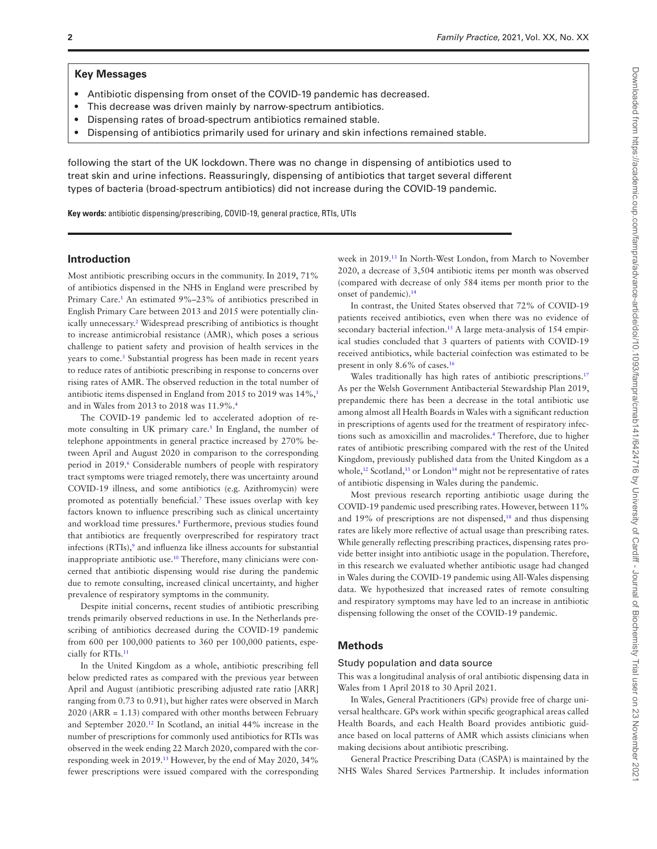#### **Key Messages**

- Antibiotic dispensing from onset of the COVID-19 pandemic has decreased.
- This decrease was driven mainly by narrow-spectrum antibiotics.
- Dispensing rates of broad-spectrum antibiotics remained stable.
- Dispensing of antibiotics primarily used for urinary and skin infections remained stable.

following the start of the UK lockdown. There was no change in dispensing of antibiotics used to treat skin and urine infections. Reassuringly, dispensing of antibiotics that target several different types of bacteria (broad-spectrum antibiotics) did not increase during the COVID-19 pandemic.

**Key words:** antibiotic dispensing/prescribing, COVID-19, general practice, RTIs, UTIs

#### **Introduction**

Most antibiotic prescribing occurs in the community. In 2019, 71% of antibiotics dispensed in the NHS in England were prescribed by Primary Care.<sup>1</sup> An estimated 9%–23% of antibiotics prescribed in English Primary Care between 2013 and 2015 were potentially clinically unnecessary[.2](#page-5-1) Widespread prescribing of antibiotics is thought to increase antimicrobial resistance (AMR), which poses a serious challenge to patient safety and provision of health services in the years to come.<sup>[3](#page-5-2)</sup> Substantial progress has been made in recent years to reduce rates of antibiotic prescribing in response to concerns over rising rates of AMR. The observed reduction in the total number of antibiotic items dispensed in England from 2015 to 2019 was 14%,[1](#page-5-0) and in Wales from 2013 to 2018 was 11.9%[.4](#page-5-3)

The COVID-19 pandemic led to accelerated adoption of remote consulting in UK primary care.<sup>5</sup> In England, the number of telephone appointments in general practice increased by 270% between April and August 2020 in comparison to the corresponding period in 2019.<sup>6</sup> Considerable numbers of people with respiratory tract symptoms were triaged remotely, there was uncertainty around COVID-19 illness, and some antibiotics (e.g. Azithromycin) were promoted as potentially beneficial.<sup>7</sup> These issues overlap with key factors known to influence prescribing such as clinical uncertainty and workload time pressures.<sup>[8](#page-5-7)</sup> Furthermore, previous studies found that antibiotics are frequently overprescribed for respiratory tract infections (RTIs),<sup>9</sup> and influenza like illness accounts for substantial inappropriate antibiotic use[.10](#page-5-9) Therefore, many clinicians were concerned that antibiotic dispensing would rise during the pandemic due to remote consulting, increased clinical uncertainty, and higher prevalence of respiratory symptoms in the community.

Despite initial concerns, recent studies of antibiotic prescribing trends primarily observed reductions in use. In the Netherlands prescribing of antibiotics decreased during the COVID-19 pandemic from 600 per 100,000 patients to 360 per 100,000 patients, especially for RTIs.[11](#page-5-10)

In the United Kingdom as a whole, antibiotic prescribing fell below predicted rates as compared with the previous year between April and August (antibiotic prescribing adjusted rate ratio [ARR] ranging from 0.73 to 0.91), but higher rates were observed in March 2020 (ARR = 1.13) compared with other months between February and September 2020[.12](#page-5-11) In Scotland, an initial 44% increase in the number of prescriptions for commonly used antibiotics for RTIs was observed in the week ending 22 March 2020, compared with the corresponding week in 2019.[13](#page-5-12) However, by the end of May 2020, 34% fewer prescriptions were issued compared with the corresponding

week in 2019.[13](#page-5-12) In North-West London, from March to November 2020, a decrease of 3,504 antibiotic items per month was observed (compared with decrease of only 584 items per month prior to the onset of pandemic)[.14](#page-5-13)

In contrast, the United States observed that 72% of COVID-19 patients received antibiotics, even when there was no evidence of secondary bacterial infection.<sup>15</sup> A large meta-analysis of 154 empirical studies concluded that 3 quarters of patients with COVID-19 received antibiotics, while bacterial coinfection was estimated to be present in only 8.6% of cases.[16](#page-5-15)

Wales traditionally has high rates of antibiotic prescriptions.<sup>[17](#page-5-16)</sup> As per the Welsh Government Antibacterial Stewardship Plan 2019, prepandemic there has been a decrease in the total antibiotic use among almost all Health Boards in Wales with a significant reduction in prescriptions of agents used for the treatment of respiratory infections such as amoxicillin and macrolides[.4](#page-5-3) Therefore, due to higher rates of antibiotic prescribing compared with the rest of the United Kingdom, previously published data from the United Kingdom as a whole,<sup>12</sup> Scotland,<sup>13</sup> or London<sup>14</sup> might not be representative of rates of antibiotic dispensing in Wales during the pandemic.

Most previous research reporting antibiotic usage during the COVID-19 pandemic used prescribing rates. However, between 11% and 19% of prescriptions are not dispensed, $18$  and thus dispensing rates are likely more reflective of actual usage than prescribing rates. While generally reflecting prescribing practices, dispensing rates provide better insight into antibiotic usage in the population. Therefore, in this research we evaluated whether antibiotic usage had changed in Wales during the COVID-19 pandemic using All-Wales dispensing data. We hypothesized that increased rates of remote consulting and respiratory symptoms may have led to an increase in antibiotic dispensing following the onset of the COVID-19 pandemic.

#### **Methods**

#### Study population and data source

This was a longitudinal analysis of oral antibiotic dispensing data in Wales from 1 April 2018 to 30 April 2021.

In Wales, General Practitioners (GPs) provide free of charge universal healthcare. GPs work within specific geographical areas called Health Boards, and each Health Board provides antibiotic guidance based on local patterns of AMR which assists clinicians when making decisions about antibiotic prescribing.

General Practice Prescribing Data (CASPA) is maintained by the NHS Wales Shared Services Partnership. It includes information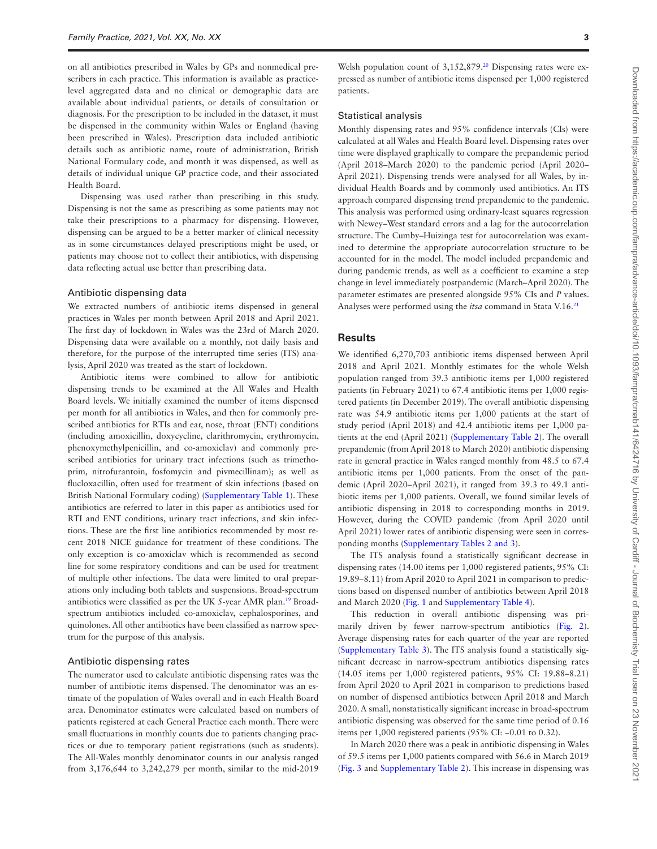on all antibiotics prescribed in Wales by GPs and nonmedical prescribers in each practice. This information is available as practicelevel aggregated data and no clinical or demographic data are available about individual patients, or details of consultation or diagnosis. For the prescription to be included in the dataset, it must be dispensed in the community within Wales or England (having been prescribed in Wales). Prescription data included antibiotic details such as antibiotic name, route of administration, British National Formulary code, and month it was dispensed, as well as details of individual unique GP practice code, and their associated Health Board.

Dispensing was used rather than prescribing in this study. Dispensing is not the same as prescribing as some patients may not take their prescriptions to a pharmacy for dispensing. However, dispensing can be argued to be a better marker of clinical necessity as in some circumstances delayed prescriptions might be used, or patients may choose not to collect their antibiotics, with dispensing data reflecting actual use better than prescribing data.

#### Antibiotic dispensing data

We extracted numbers of antibiotic items dispensed in general practices in Wales per month between April 2018 and April 2021. The first day of lockdown in Wales was the 23rd of March 2020. Dispensing data were available on a monthly, not daily basis and therefore, for the purpose of the interrupted time series (ITS) analysis, April 2020 was treated as the start of lockdown.

Antibiotic items were combined to allow for antibiotic dispensing trends to be examined at the All Wales and Health Board levels. We initially examined the number of items dispensed per month for all antibiotics in Wales, and then for commonly prescribed antibiotics for RTIs and ear, nose, throat (ENT) conditions (including amoxicillin, doxycycline, clarithromycin, erythromycin, phenoxymethylpenicillin, and co-amoxiclav) and commonly prescribed antibiotics for urinary tract infections (such as trimethoprim, nitrofurantoin, fosfomycin and pivmecillinam); as well as flucloxacillin, often used for treatment of skin infections (based on British National Formulary coding) [\(Supplementary Table 1](http://academic.oup.com/fampra/article-lookup/doi/10.1093/fampra/cmab141#supplementary-data)). These antibiotics are referred to later in this paper as antibiotics used for RTI and ENT conditions, urinary tract infections, and skin infections. These are the first line antibiotics recommended by most recent 2018 NICE guidance for treatment of these conditions. The only exception is co-amoxiclav which is recommended as second line for some respiratory conditions and can be used for treatment of multiple other infections. The data were limited to oral preparations only including both tablets and suspensions. Broad-spectrum antibiotics were classified as per the UK 5-year AMR plan[.19](#page-5-18) Broadspectrum antibiotics included co-amoxiclav, cephalosporines, and quinolones. All other antibiotics have been classified as narrow spectrum for the purpose of this analysis.

#### Antibiotic dispensing rates

The numerator used to calculate antibiotic dispensing rates was the number of antibiotic items dispensed. The denominator was an estimate of the population of Wales overall and in each Health Board area. Denominator estimates were calculated based on numbers of patients registered at each General Practice each month. There were small fluctuations in monthly counts due to patients changing practices or due to temporary patient registrations (such as students). The All-Wales monthly denominator counts in our analysis ranged from 3,176,644 to 3,242,279 per month, similar to the mid-2019

Welsh population count of 3,152,879.<sup>20</sup> Dispensing rates were expressed as number of antibiotic items dispensed per 1,000 registered patients.

#### Statistical analysis

Monthly dispensing rates and 95% confidence intervals (CIs) were calculated at all Wales and Health Board level. Dispensing rates over time were displayed graphically to compare the prepandemic period (April 2018–March 2020) to the pandemic period (April 2020– April 2021). Dispensing trends were analysed for all Wales, by individual Health Boards and by commonly used antibiotics. An ITS approach compared dispensing trend prepandemic to the pandemic. This analysis was performed using ordinary-least squares regression with Newey–West standard errors and a lag for the autocorrelation structure. The Cumby–Huizinga test for autocorrelation was examined to determine the appropriate autocorrelation structure to be accounted for in the model. The model included prepandemic and during pandemic trends, as well as a coefficient to examine a step change in level immediately postpandemic (March–April 2020). The parameter estimates are presented alongside 95% CIs and *P* values. Analyses were performed using the *itsa* command in Stata V.16.[21](#page-5-20)

#### **Results**

We identified 6,270,703 antibiotic items dispensed between April 2018 and April 2021. Monthly estimates for the whole Welsh population ranged from 39.3 antibiotic items per 1,000 registered patients (in February 2021) to 67.4 antibiotic items per 1,000 registered patients (in December 2019). The overall antibiotic dispensing rate was 54.9 antibiotic items per 1,000 patients at the start of study period (April 2018) and 42.4 antibiotic items per 1,000 patients at the end (April 2021) ([Supplementary Table 2\)](http://academic.oup.com/fampra/article-lookup/doi/10.1093/fampra/cmab141#supplementary-data). The overall prepandemic (from April 2018 to March 2020) antibiotic dispensing rate in general practice in Wales ranged monthly from 48.5 to 67.4 antibiotic items per 1,000 patients. From the onset of the pandemic (April 2020–April 2021), it ranged from 39.3 to 49.1 antibiotic items per 1,000 patients. Overall, we found similar levels of antibiotic dispensing in 2018 to corresponding months in 2019. However, during the COVID pandemic (from April 2020 until April 2021) lower rates of antibiotic dispensing were seen in corresponding months [\(Supplementary Tables 2 and 3](http://academic.oup.com/fampra/article-lookup/doi/10.1093/fampra/cmab141#supplementary-data)).

The ITS analysis found a statistically significant decrease in dispensing rates (14.00 items per 1,000 registered patients, 95% CI: 19.89–8.11) from April 2020 to April 2021 in comparison to predictions based on dispensed number of antibiotics between April 2018 and March 2020 [\(Fig. 1](#page-3-0) and [Supplementary Table 4\)](http://academic.oup.com/fampra/article-lookup/doi/10.1093/fampra/cmab141#supplementary-data).

This reduction in overall antibiotic dispensing was primarily driven by fewer narrow-spectrum antibiotics [\(Fig. 2\)](#page-3-1). Average dispensing rates for each quarter of the year are reported ([Supplementary Table 3\)](http://academic.oup.com/fampra/article-lookup/doi/10.1093/fampra/cmab141#supplementary-data). The ITS analysis found a statistically significant decrease in narrow-spectrum antibiotics dispensing rates (14.05 items per 1,000 registered patients, 95% CI: 19.88–8.21) from April 2020 to April 2021 in comparison to predictions based on number of dispensed antibiotics between April 2018 and March 2020. A small, nonstatistically significant increase in broad-spectrum antibiotic dispensing was observed for the same time period of 0.16 items per 1,000 registered patients (95% CI: −0.01 to 0.32).

In March 2020 there was a peak in antibiotic dispensing in Wales of 59.5 items per 1,000 patients compared with 56.6 in March 2019 ([Fig. 3](#page-3-2) and [Supplementary Table 2](http://academic.oup.com/fampra/article-lookup/doi/10.1093/fampra/cmab141#supplementary-data)). This increase in dispensing was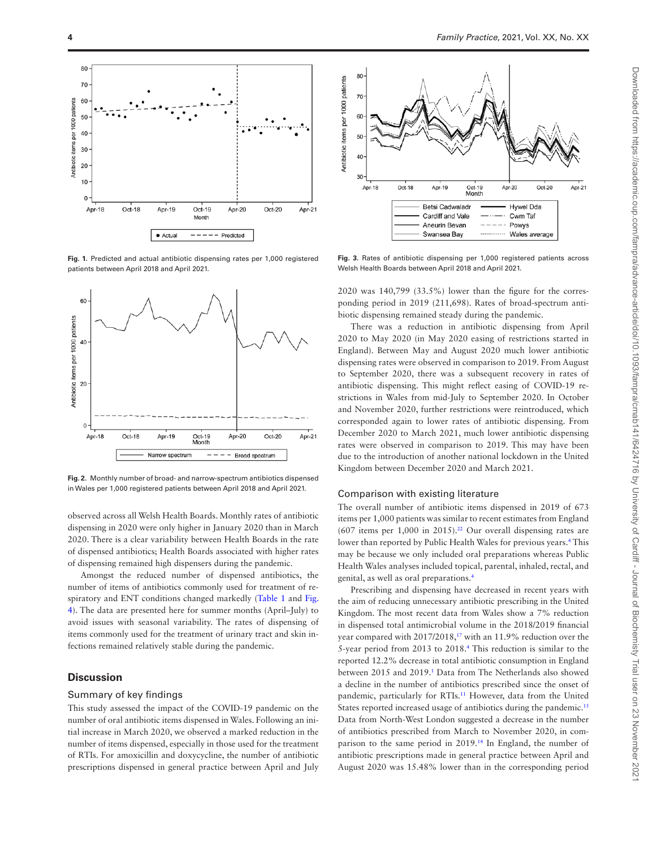

<span id="page-3-0"></span>**Fig. 1.** Predicted and actual antibiotic dispensing rates per 1,000 registered patients between April 2018 and April 2021.



<span id="page-3-1"></span>**Fig. 2.** Monthly number of broad- and narrow-spectrum antibiotics dispensed in Wales per 1,000 registered patients between April 2018 and April 2021.

observed across all Welsh Health Boards. Monthly rates of antibiotic dispensing in 2020 were only higher in January 2020 than in March 2020. There is a clear variability between Health Boards in the rate of dispensed antibiotics; Health Boards associated with higher rates of dispensing remained high dispensers during the pandemic.

Amongst the reduced number of dispensed antibiotics, the number of items of antibiotics commonly used for treatment of re-spiratory and ENT conditions changed markedly [\(Table 1](#page-4-0) and [Fig.](#page-4-1) [4\)](#page-4-1). The data are presented here for summer months (April–July) to avoid issues with seasonal variability. The rates of dispensing of items commonly used for the treatment of urinary tract and skin infections remained relatively stable during the pandemic.

#### **Discussion**

#### Summary of key findings

This study assessed the impact of the COVID-19 pandemic on the number of oral antibiotic items dispensed in Wales. Following an initial increase in March 2020, we observed a marked reduction in the number of items dispensed, especially in those used for the treatment of RTIs. For amoxicillin and doxycycline, the number of antibiotic prescriptions dispensed in general practice between April and July



<span id="page-3-2"></span>**Fig. 3.** Rates of antibiotic dispensing per 1,000 registered patients across Welsh Health Boards between April 2018 and April 2021.

2020 was 140,799 (33.5%) lower than the figure for the corresponding period in 2019 (211,698). Rates of broad-spectrum antibiotic dispensing remained steady during the pandemic.

There was a reduction in antibiotic dispensing from April 2020 to May 2020 (in May 2020 easing of restrictions started in England). Between May and August 2020 much lower antibiotic dispensing rates were observed in comparison to 2019. From August to September 2020, there was a subsequent recovery in rates of antibiotic dispensing. This might reflect easing of COVID-19 restrictions in Wales from mid-July to September 2020. In October and November 2020, further restrictions were reintroduced, which corresponded again to lower rates of antibiotic dispensing. From December 2020 to March 2021, much lower antibiotic dispensing rates were observed in comparison to 2019. This may have been due to the introduction of another national lockdown in the United Kingdom between December 2020 and March 2021.

#### Comparison with existing literature

The overall number of antibiotic items dispensed in 2019 of 673 items per 1,000 patients was similar to recent estimates from England  $(607)$  items per 1,000 in 2015).<sup>22</sup> Our overall dispensing rates are lower than reported by Public Health Wales for previous years.<sup>[4](#page-5-3)</sup> This may be because we only included oral preparations whereas Public Health Wales analyses included topical, parental, inhaled, rectal, and genital, as well as oral preparations[.4](#page-5-3)

Prescribing and dispensing have decreased in recent years with the aim of reducing unnecessary antibiotic prescribing in the United Kingdom. The most recent data from Wales show a 7% reduction in dispensed total antimicrobial volume in the 2018/2019 financial year compared with 2017/2018,<sup>17</sup> with an 11.9% reduction over the 5-year period from 2013 to 2018[.4](#page-5-3) This reduction is similar to the reported 12.2% decrease in total antibiotic consumption in England between 2015 and 2019.<sup>1</sup> Data from The Netherlands also showed a decline in the number of antibiotics prescribed since the onset of pandemic, particularly for RTIs.<sup>11</sup> However, data from the United States reported increased usage of antibiotics during the pandemic.<sup>[15](#page-5-14)</sup> Data from North-West London suggested a decrease in the number of antibiotics prescribed from March to November 2020, in comparison to the same period in 2019[.14](#page-5-13) In England, the number of antibiotic prescriptions made in general practice between April and August 2020 was 15.48% lower than in the corresponding period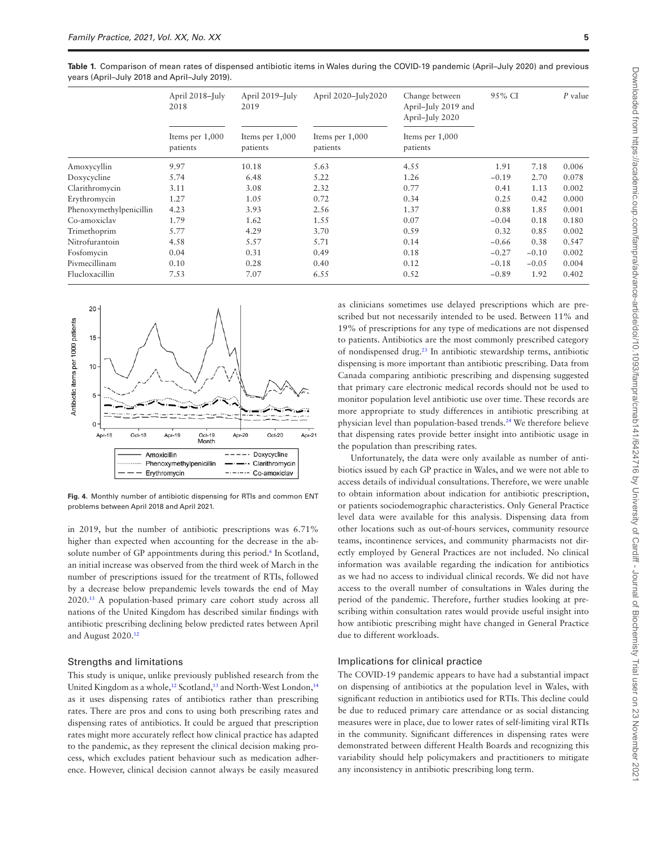<span id="page-4-0"></span>**Table 1.** Comparison of mean rates of dispensed antibiotic items in Wales during the COVID-19 pandemic (April–July 2020) and previous years (April–July 2018 and April–July 2019).

|                         | April 2018-July<br>2018<br>Items per 1,000<br>patients | April 2019-July<br>2019<br>Items per $1,000$<br>patients | April 2020-July2020<br>Items per 1,000<br>patients | Change between<br>April-July 2019 and<br>April-July 2020<br>Items per $1,000$<br>patients | 95% CI  |         | $P$ value |
|-------------------------|--------------------------------------------------------|----------------------------------------------------------|----------------------------------------------------|-------------------------------------------------------------------------------------------|---------|---------|-----------|
|                         |                                                        |                                                          |                                                    |                                                                                           |         |         |           |
| Amoxycyllin             | 9.97                                                   | 10.18                                                    | 5.63                                               | 4.55                                                                                      | 1.91    | 7.18    | 0.006     |
| Doxycycline             | 5.74                                                   | 6.48                                                     | 5.22                                               | 1.26                                                                                      | $-0.19$ | 2.70    | 0.078     |
| Clarithromycin          | 3.11                                                   | 3.08                                                     | 2.32                                               | 0.77                                                                                      | 0.41    | 1.13    | 0.002     |
| Erythromycin            | 1.27                                                   | 1.05                                                     | 0.72                                               | 0.34                                                                                      | 0.25    | 0.42    | 0.000     |
| Phenoxymethylpenicillin | 4.23                                                   | 3.93                                                     | 2.56                                               | 1.37                                                                                      | 0.88    | 1.85    | 0.001     |
| Co-amoxiclay            | 1.79                                                   | 1.62                                                     | 1.55                                               | 0.07                                                                                      | $-0.04$ | 0.18    | 0.180     |
| Trimethoprim            | 5.77                                                   | 4.29                                                     | 3.70                                               | 0.59                                                                                      | 0.32    | 0.85    | 0.002     |
| Nitrofurantoin          | 4.58                                                   | 5.57                                                     | 5.71                                               | 0.14                                                                                      | $-0.66$ | 0.38    | 0.547     |
| Fosfomycin              | 0.04                                                   | 0.31                                                     | 0.49                                               | 0.18                                                                                      | $-0.27$ | $-0.10$ | 0.002     |
| Pivmecillinam           | 0.10                                                   | 0.28                                                     | 0.40                                               | 0.12                                                                                      | $-0.18$ | $-0.05$ | 0.004     |
| Flucloxacillin          | 7.53                                                   | 7.07                                                     | 6.55                                               | 0.52                                                                                      | $-0.89$ | 1.92    | 0.402     |



<span id="page-4-1"></span>**Fig. 4.** Monthly number of antibiotic dispensing for RTIs and common ENT problems between April 2018 and April 2021.

in 2019, but the number of antibiotic prescriptions was 6.71% higher than expected when accounting for the decrease in the absolute number of GP appointments during this period.<sup>6</sup> In Scotland, an initial increase was observed from the third week of March in the number of prescriptions issued for the treatment of RTIs, followed by a decrease below prepandemic levels towards the end of May 2020[.13](#page-5-12) A population-based primary care cohort study across all nations of the United Kingdom has described similar findings with antibiotic prescribing declining below predicted rates between April and August 2020.[12](#page-5-11)

#### Strengths and limitations

This study is unique, unlike previously published research from the United Kingdom as a whole,<sup>12</sup> Scotland,<sup>13</sup> and North-West London,<sup>[14](#page-5-13)</sup> as it uses dispensing rates of antibiotics rather than prescribing rates. There are pros and cons to using both prescribing rates and dispensing rates of antibiotics. It could be argued that prescription rates might more accurately reflect how clinical practice has adapted to the pandemic, as they represent the clinical decision making process, which excludes patient behaviour such as medication adherence. However, clinical decision cannot always be easily measured as clinicians sometimes use delayed prescriptions which are prescribed but not necessarily intended to be used. Between 11% and 19% of prescriptions for any type of medications are not dispensed to patients. Antibiotics are the most commonly prescribed category of nondispensed drug[.23](#page-5-22) In antibiotic stewardship terms, antibiotic dispensing is more important than antibiotic prescribing. Data from Canada comparing antibiotic prescribing and dispensing suggested that primary care electronic medical records should not be used to monitor population level antibiotic use over time. These records are more appropriate to study differences in antibiotic prescribing at physician level than population-based trends.<sup>24</sup> We therefore believe that dispensing rates provide better insight into antibiotic usage in the population than prescribing rates.

Unfortunately, the data were only available as number of antibiotics issued by each GP practice in Wales, and we were not able to access details of individual consultations. Therefore, we were unable to obtain information about indication for antibiotic prescription, or patients sociodemographic characteristics. Only General Practice level data were available for this analysis. Dispensing data from other locations such as out-of-hours services, community resource teams, incontinence services, and community pharmacists not directly employed by General Practices are not included. No clinical information was available regarding the indication for antibiotics as we had no access to individual clinical records. We did not have access to the overall number of consultations in Wales during the period of the pandemic. Therefore, further studies looking at prescribing within consultation rates would provide useful insight into how antibiotic prescribing might have changed in General Practice due to different workloads.

#### Implications for clinical practice

The COVID-19 pandemic appears to have had a substantial impact on dispensing of antibiotics at the population level in Wales, with significant reduction in antibiotics used for RTIs. This decline could be due to reduced primary care attendance or as social distancing measures were in place, due to lower rates of self-limiting viral RTIs in the community. Significant differences in dispensing rates were demonstrated between different Health Boards and recognizing this variability should help policymakers and practitioners to mitigate any inconsistency in antibiotic prescribing long term.